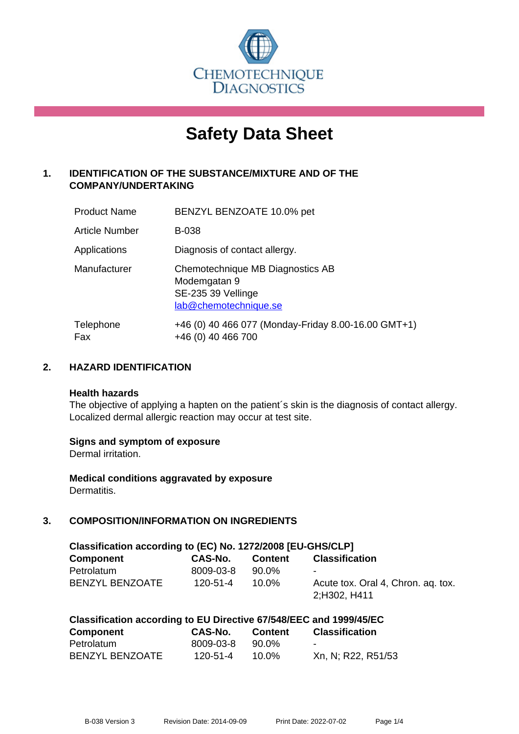

# **Safety Data Sheet**

# **1. IDENTIFICATION OF THE SUBSTANCE/MIXTURE AND OF THE COMPANY/UNDERTAKING**

| <b>Product Name</b>   | BENZYL BENZOATE 10.0% pet                                                                       |
|-----------------------|-------------------------------------------------------------------------------------------------|
| <b>Article Number</b> | <b>B-038</b>                                                                                    |
| Applications          | Diagnosis of contact allergy.                                                                   |
| Manufacturer          | Chemotechnique MB Diagnostics AB<br>Modemgatan 9<br>SE-235 39 Vellinge<br>lab@chemotechnique.se |
| Telephone<br>Fax      | +46 (0) 40 466 077 (Monday-Friday 8.00-16.00 GMT+1)<br>+46 (0) 40 466 700                       |

## **2. HAZARD IDENTIFICATION**

#### **Health hazards**

The objective of applying a hapten on the patient's skin is the diagnosis of contact allergy. Localized dermal allergic reaction may occur at test site.

## **Signs and symptom of exposure**

Dermal irritation.

**Medical conditions aggravated by exposure** Dermatitis.

# **3. COMPOSITION/INFORMATION ON INGREDIENTS**

| Classification according to (EC) No. 1272/2008 [EU-GHS/CLP] |           |         |                                                    |  |  |  |
|-------------------------------------------------------------|-----------|---------|----------------------------------------------------|--|--|--|
| Component                                                   | CAS-No.   | Content | <b>Classification</b>                              |  |  |  |
| Petrolatum                                                  | 8009-03-8 | 90.0%   |                                                    |  |  |  |
| <b>BENZYL BENZOATE</b>                                      | 120-51-4  | 10.0%   | Acute tox. Oral 4, Chron. ag. tox.<br>2;H302, H411 |  |  |  |

| Classification according to EU Directive 67/548/EEC and 1999/45/EC |           |                |                       |  |  |  |
|--------------------------------------------------------------------|-----------|----------------|-----------------------|--|--|--|
| Component                                                          | CAS-No.   | <b>Content</b> | <b>Classification</b> |  |  |  |
| Petrolatum                                                         | 8009-03-8 | 90.0%          |                       |  |  |  |
| <b>BENZYL BENZOATE</b>                                             | 120-51-4  | 10.0%          | Xn, N; R22, R51/53    |  |  |  |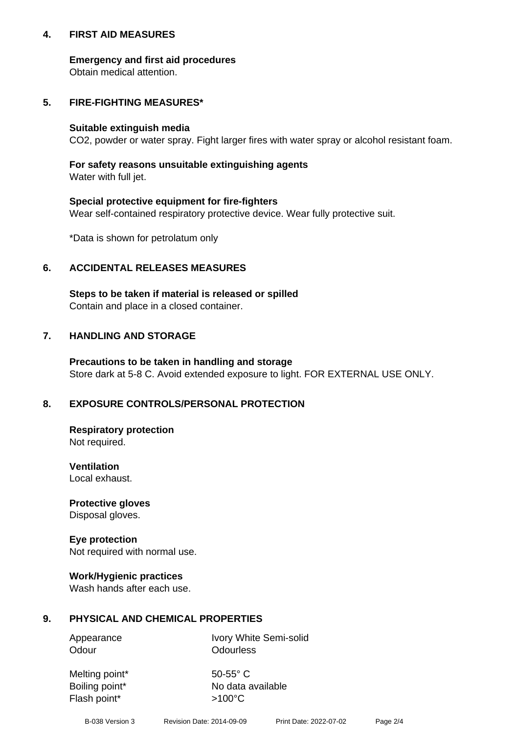## **4. FIRST AID MEASURES**

## **Emergency and first aid procedures**

Obtain medical attention.

# **5. FIRE-FIGHTING MEASURES\***

#### **Suitable extinguish media**

CO2, powder or water spray. Fight larger fires with water spray or alcohol resistant foam.

# **For safety reasons unsuitable extinguishing agents**

Water with full jet.

## **Special protective equipment for fire-fighters**

Wear self-contained respiratory protective device. Wear fully protective suit.

\*Data is shown for petrolatum only

## **6. ACCIDENTAL RELEASES MEASURES**

**Steps to be taken if material is released or spilled** Contain and place in a closed container.

# **7. HANDLING AND STORAGE**

**Precautions to be taken in handling and storage** Store dark at 5-8 C. Avoid extended exposure to light. FOR EXTERNAL USE ONLY.

# **8. EXPOSURE CONTROLS/PERSONAL PROTECTION**

**Respiratory protection** Not required.

**Ventilation** Local exhaust.

**Protective gloves** Disposal gloves.

#### **Eye protection** Not required with normal use.

## **Work/Hygienic practices**

Wash hands after each use.

## **9. PHYSICAL AND CHEMICAL PROPERTIES**

Odour **Odourless** 

Appearance Ivory White Semi-solid

Melting point\* 50-55° C Flash point\*  $>100^{\circ}$ C

Boiling point\* No data available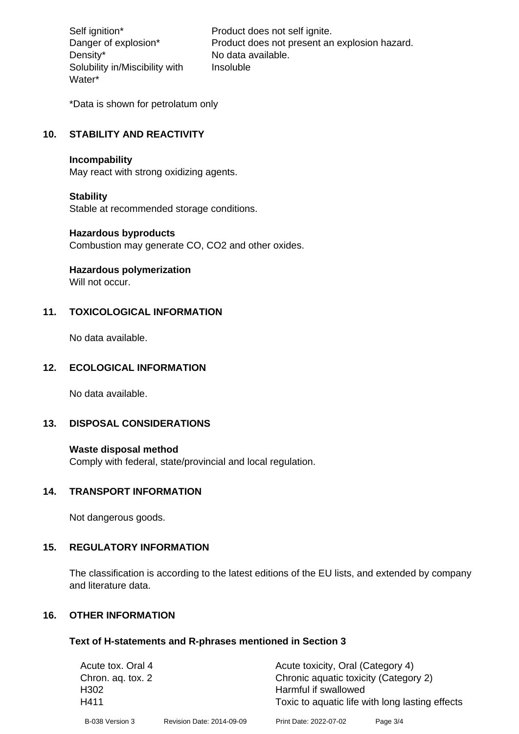Density\* No data available. Solubility in/Miscibility with Water\*

Self ignition\* Product does not self ignite. Danger of explosion\* Product does not present an explosion hazard. Insoluble

\*Data is shown for petrolatum only

# **10. STABILITY AND REACTIVITY**

#### **Incompability**

May react with strong oxidizing agents.

#### **Stability**

Stable at recommended storage conditions.

#### **Hazardous byproducts**

Combustion may generate CO, CO2 and other oxides.

**Hazardous polymerization**

Will not occur.

## **11. TOXICOLOGICAL INFORMATION**

No data available.

## **12. ECOLOGICAL INFORMATION**

No data available.

## **13. DISPOSAL CONSIDERATIONS**

#### **Waste disposal method**

Comply with federal, state/provincial and local regulation.

#### **14. TRANSPORT INFORMATION**

Not dangerous goods.

## **15. REGULATORY INFORMATION**

The classification is according to the latest editions of the EU lists, and extended by company and literature data.

#### **16. OTHER INFORMATION**

#### **Text of H-statements and R-phrases mentioned in Section 3**

| Acute tox. Oral 4 |                           | Acute toxicity, Oral (Category 4)               |          |  |
|-------------------|---------------------------|-------------------------------------------------|----------|--|
| Chron. ag. tox. 2 |                           | Chronic aquatic toxicity (Category 2)           |          |  |
| H <sub>302</sub>  |                           | Harmful if swallowed                            |          |  |
| H411              |                           | Toxic to aquatic life with long lasting effects |          |  |
| B-038 Version 3   | Revision Date: 2014-09-09 | Print Date: 2022-07-02                          | Page 3/4 |  |